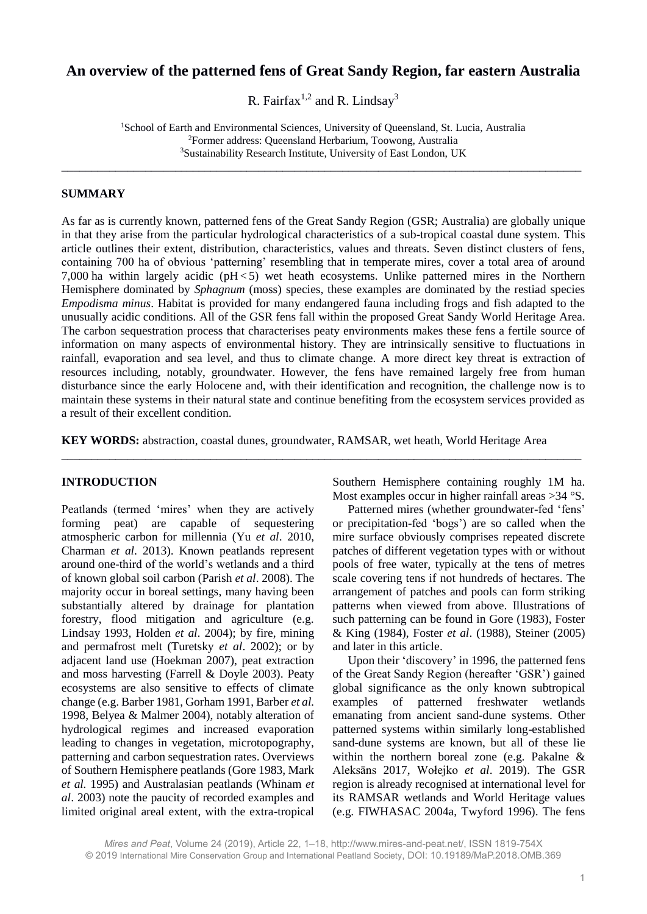# **An overview of the patterned fens of Great Sandy Region, far eastern Australia**

R. Fairfax<sup>1,2</sup> and R. Lindsay<sup>3</sup>

<sup>1</sup>School of Earth and Environmental Sciences, University of Queensland, St. Lucia, Australia <sup>2</sup>Former address: Queensland Herbarium, Toowong, Australia <sup>3</sup>Sustainability Research Institute, University of East London, UK

\_\_\_\_\_\_\_\_\_\_\_\_\_\_\_\_\_\_\_\_\_\_\_\_\_\_\_\_\_\_\_\_\_\_\_\_\_\_\_\_\_\_\_\_\_\_\_\_\_\_\_\_\_\_\_\_\_\_\_\_\_\_\_\_\_\_\_\_\_\_\_\_\_\_\_\_\_\_\_\_\_\_\_\_\_\_\_

#### **SUMMARY**

As far as is currently known, patterned fens of the Great Sandy Region (GSR; Australia) are globally unique in that they arise from the particular hydrological characteristics of a sub-tropical coastal dune system. This article outlines their extent, distribution, characteristics, values and threats. Seven distinct clusters of fens, containing 700 ha of obvious 'patterning' resembling that in temperate mires, cover a total area of around 7,000 ha within largely acidic (pH < 5) wet heath ecosystems. Unlike patterned mires in the Northern Hemisphere dominated by *Sphagnum* (moss) species, these examples are dominated by the restiad species *Empodisma minus*. Habitat is provided for many endangered fauna including frogs and fish adapted to the unusually acidic conditions. All of the GSR fens fall within the proposed Great Sandy World Heritage Area. The carbon sequestration process that characterises peaty environments makes these fens a fertile source of information on many aspects of environmental history. They are intrinsically sensitive to fluctuations in rainfall, evaporation and sea level, and thus to climate change. A more direct key threat is extraction of resources including, notably, groundwater. However, the fens have remained largely free from human disturbance since the early Holocene and, with their identification and recognition, the challenge now is to maintain these systems in their natural state and continue benefiting from the ecosystem services provided as a result of their excellent condition.

**KEY WORDS:** abstraction, coastal dunes, groundwater, RAMSAR, wet heath, World Heritage Area

\_\_\_\_\_\_\_\_\_\_\_\_\_\_\_\_\_\_\_\_\_\_\_\_\_\_\_\_\_\_\_\_\_\_\_\_\_\_\_\_\_\_\_\_\_\_\_\_\_\_\_\_\_\_\_\_\_\_\_\_\_\_\_\_\_\_\_\_\_\_\_\_\_\_\_\_\_\_\_\_\_\_\_\_\_\_\_

### **INTRODUCTION**

Peatlands (termed 'mires' when they are actively forming peat) are capable of sequestering atmospheric carbon for millennia (Yu *et al*. 2010, Charman *et al*. 2013). Known peatlands represent around one-third of the world's wetlands and a third of known global soil carbon (Parish *et al*. 2008). The majority occur in boreal settings, many having been substantially altered by drainage for plantation forestry, flood mitigation and agriculture (e.g. Lindsay 1993, Holden *et al*. 2004); by fire, mining and permafrost melt (Turetsky *et al*. 2002); or by adjacent land use (Hoekman 2007), peat extraction and moss harvesting (Farrell & Doyle 2003). Peaty ecosystems are also sensitive to effects of climate change (e.g. Barber 1981, Gorham 1991, Barber *et al.* 1998, Belyea & Malmer 2004), notably alteration of hydrological regimes and increased evaporation leading to changes in vegetation, microtopography, patterning and carbon sequestration rates. Overviews of Southern Hemisphere peatlands (Gore 1983, Mark *et al.* 1995) and Australasian peatlands (Whinam *et al*. 2003) note the paucity of recorded examples and limited original areal extent, with the extra-tropical

Southern Hemisphere containing roughly 1M ha. Most examples occur in higher rainfall areas >34 °S.

Patterned mires (whether groundwater-fed 'fens' or precipitation-fed 'bogs') are so called when the mire surface obviously comprises repeated discrete patches of different vegetation types with or without pools of free water, typically at the tens of metres scale covering tens if not hundreds of hectares. The arrangement of patches and pools can form striking patterns when viewed from above. Illustrations of such patterning can be found in Gore (1983), Foster & King (1984), Foster *et al*. (1988), Steiner (2005) and later in this article.

Upon their 'discovery' in 1996, the patterned fens of the Great Sandy Region (hereafter 'GSR') gained global significance as the only known subtropical examples of patterned freshwater wetlands emanating from ancient sand-dune systems. Other patterned systems within similarly long-established sand-dune systems are known, but all of these lie within the northern boreal zone (e.g. Pakalne & Aleksāns 2017, Wołejko *et al*. 2019). The GSR region is already recognised at international level for its RAMSAR wetlands and World Heritage values (e.g. FIWHASAC 2004a, Twyford 1996). The fens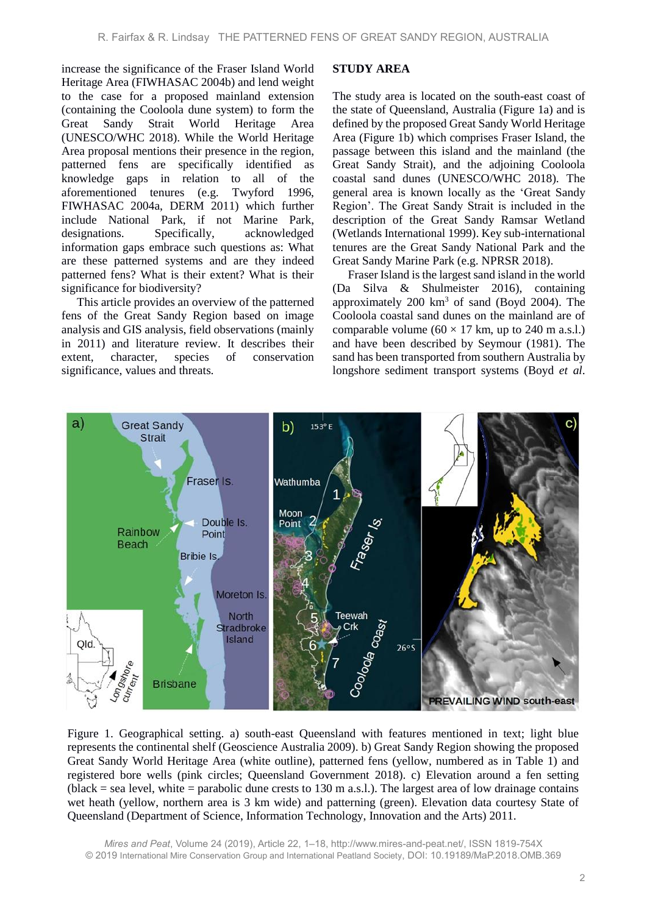increase the significance of the Fraser Island World Heritage Area (FIWHASAC 2004b) and lend weight to the case for a proposed mainland extension (containing the Cooloola dune system) to form the Great Sandy Strait World Heritage Area (UNESCO/WHC 2018). While the World Heritage Area proposal mentions their presence in the region, patterned fens are specifically identified as knowledge gaps in relation to all of the aforementioned tenures (e.g. Twyford 1996, FIWHASAC 2004a, DERM 2011) which further include National Park, if not Marine Park, designations. Specifically, acknowledged information gaps embrace such questions as: What are these patterned systems and are they indeed patterned fens? What is their extent? What is their significance for biodiversity?

This article provides an overview of the patterned fens of the Great Sandy Region based on image analysis and GIS analysis, field observations (mainly in 2011) and literature review. It describes their extent, character, species of conservation significance, values and threats.

#### **STUDY AREA**

The study area is located on the south-east coast of the state of Queensland, Australia (Figure 1a) and is defined by the proposed Great Sandy World Heritage Area (Figure 1b) which comprises Fraser Island, the passage between this island and the mainland (the Great Sandy Strait), and the adjoining Cooloola coastal sand dunes (UNESCO/WHC 2018). The general area is known locally as the 'Great Sandy Region'. The Great Sandy Strait is included in the description of the Great Sandy Ramsar Wetland (Wetlands International 1999). Key sub-international tenures are the Great Sandy National Park and the Great Sandy Marine Park (e.g. NPRSR 2018).

Fraser Island is the largest sand island in the world (Da Silva & Shulmeister 2016), containing approximately 200 km<sup>3</sup> of sand (Boyd 2004). The Cooloola coastal sand dunes on the mainland are of comparable volume  $(60 \times 17 \text{ km}, \text{ up to } 240 \text{ m a.s.}$ ). and have been described by Seymour (1981). The sand has been transported from southern Australia by longshore sediment transport systems (Boyd *et al*.



Figure 1. Geographical setting. a) south-east Queensland with features mentioned in text; light blue represents the continental shelf (Geoscience Australia 2009). b) Great Sandy Region showing the proposed Great Sandy World Heritage Area (white outline), patterned fens (yellow, numbered as in Table 1) and registered bore wells (pink circles; Queensland Government 2018). c) Elevation around a fen setting (black = sea level, white = parabolic dune crests to 130 m a.s.l.). The largest area of low drainage contains wet heath (yellow, northern area is 3 km wide) and patterning (green). Elevation data courtesy State of Queensland (Department of Science, Information Technology, Innovation and the Arts) 2011.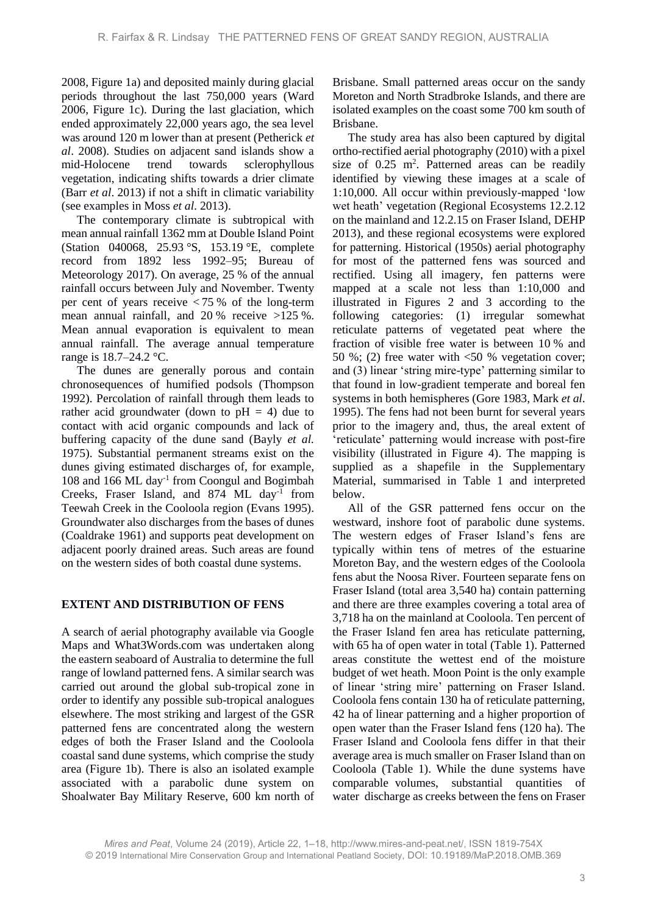2008, Figure 1a) and deposited mainly during glacial periods throughout the last 750,000 years (Ward 2006, Figure 1c). During the last glaciation, which ended approximately 22,000 years ago, the sea level was around 120 m lower than at present (Petherick *et al*. 2008). Studies on adjacent sand islands show a mid-Holocene trend towards sclerophyllous vegetation, indicating shifts towards a drier climate (Barr *et al*. 2013) if not a shift in climatic variability (see examples in Moss *et al*. 2013).

The contemporary climate is subtropical with mean annual rainfall 1362 mm at Double Island Point (Station 040068, 25.93 °S, 153.19 °E, complete record from 1892 less 1992–95; Bureau of Meteorology 2017). On average, 25 % of the annual rainfall occurs between July and November. Twenty per cent of years receive < 75 % of the long-term mean annual rainfall, and 20 % receive >125 %. Mean annual evaporation is equivalent to mean annual rainfall. The average annual temperature range is 18.7–24.2 °C.

The dunes are generally porous and contain chronosequences of humified podsols (Thompson 1992). Percolation of rainfall through them leads to rather acid groundwater (down to  $pH = 4$ ) due to contact with acid organic compounds and lack of buffering capacity of the dune sand (Bayly *et al.* 1975). Substantial permanent streams exist on the dunes giving estimated discharges of, for example, 108 and 166 ML day-1 from Coongul and Bogimbah Creeks, Fraser Island, and 874 ML day<sup>-1</sup> from Teewah Creek in the Cooloola region (Evans 1995). Groundwater also discharges from the bases of dunes (Coaldrake 1961) and supports peat development on adjacent poorly drained areas. Such areas are found on the western sides of both coastal dune systems.

#### **EXTENT AND DISTRIBUTION OF FENS**

A search of aerial photography available via Google Maps and What3Words.com was undertaken along the eastern seaboard of Australia to determine the full range of lowland patterned fens. A similar search was carried out around the global sub-tropical zone in order to identify any possible sub-tropical analogues elsewhere. The most striking and largest of the GSR patterned fens are concentrated along the western edges of both the Fraser Island and the Cooloola coastal sand dune systems, which comprise the study area (Figure 1b). There is also an isolated example associated with a parabolic dune system on Shoalwater Bay Military Reserve, 600 km north of

Brisbane. Small patterned areas occur on the sandy Moreton and North Stradbroke Islands, and there are isolated examples on the coast some 700 km south of Brisbane.

The study area has also been captured by digital ortho-rectified aerial photography (2010) with a pixel size of  $0.25$  m<sup>2</sup>. Patterned areas can be readily identified by viewing these images at a scale of 1:10,000. All occur within previously-mapped 'low wet heath' vegetation (Regional Ecosystems 12.2.12 on the mainland and 12.2.15 on Fraser Island, DEHP 2013), and these regional ecosystems were explored for patterning. Historical (1950s) aerial photography for most of the patterned fens was sourced and rectified. Using all imagery, fen patterns were mapped at a scale not less than 1:10,000 and illustrated in Figures 2 and 3 according to the following categories: (1) irregular somewhat reticulate patterns of vegetated peat where the fraction of visible free water is between 10 % and 50 %; (2) free water with  $\leq 50$  % vegetation cover; and (3) linear 'string mire-type' patterning similar to that found in low-gradient temperate and boreal fen systems in both hemispheres (Gore 1983, Mark *et al*. 1995). The fens had not been burnt for several years prior to the imagery and, thus, the areal extent of 'reticulate' patterning would increase with post-fire visibility (illustrated in Figure 4). The mapping is supplied as a shapefile in the Supplementary Material, summarised in Table 1 and interpreted below.

All of the GSR patterned fens occur on the westward, inshore foot of parabolic dune systems. The western edges of Fraser Island's fens are typically within tens of metres of the estuarine Moreton Bay, and the western edges of the Cooloola fens abut the Noosa River. Fourteen separate fens on Fraser Island (total area 3,540 ha) contain patterning and there are three examples covering a total area of 3,718 ha on the mainland at Cooloola. Ten percent of the Fraser Island fen area has reticulate patterning, with 65 ha of open water in total (Table 1). Patterned areas constitute the wettest end of the moisture budget of wet heath. Moon Point is the only example of linear 'string mire' patterning on Fraser Island. Cooloola fens contain 130 ha of reticulate patterning, 42 ha of linear patterning and a higher proportion of open water than the Fraser Island fens (120 ha). The Fraser Island and Cooloola fens differ in that their average area is much smaller on Fraser Island than on Cooloola (Table 1). While the dune systems have comparable volumes, substantial quantities of water discharge as creeks between the fens on Fraser

*Mires and Peat*, Volume 24 (2019), Article 22, 1–18, http://www.mires-and-peat.net/, ISSN 1819-754X © 2019 International Mire Conservation Group and International Peatland Society, DOI: 10.19189/MaP.2018.OMB.369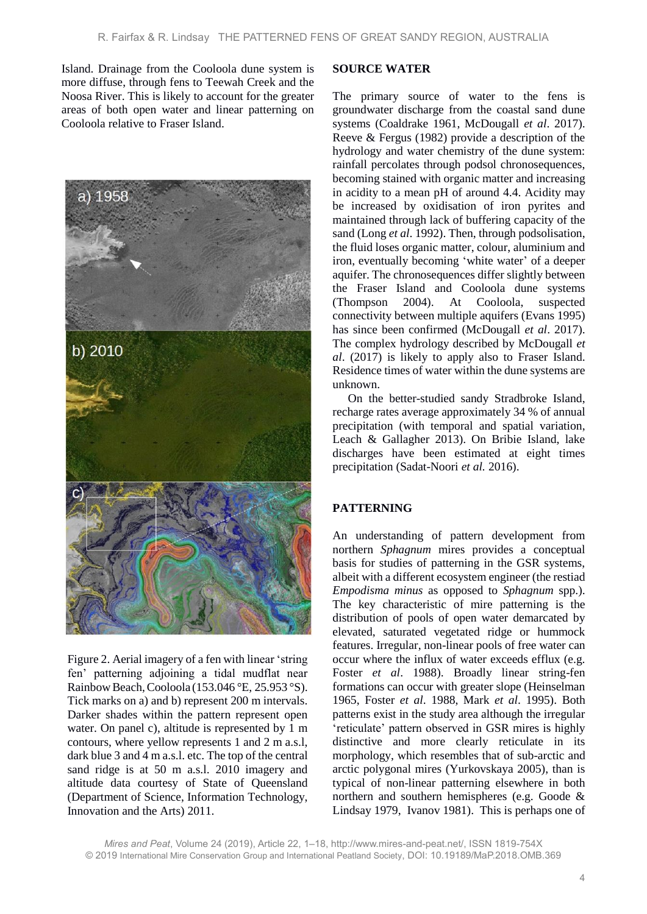Island. Drainage from the Cooloola dune system is more diffuse, through fens to Teewah Creek and the Noosa River. This is likely to account for the greater areas of both open water and linear patterning on Cooloola relative to Fraser Island.



Figure 2. Aerial imagery of a fen with linear 'string fen' patterning adjoining a tidal mudflat near RainbowBeach,Cooloola (153.046 °E, 25.953 °S). Tick marks on a) and b) represent 200 m intervals. Darker shades within the pattern represent open water. On panel c), altitude is represented by 1 m contours, where yellow represents 1 and 2 m a.s.l, dark blue 3 and 4 m a.s.l. etc. The top of the central sand ridge is at 50 m a.s.l. 2010 imagery and altitude data courtesy of State of Queensland (Department of Science, Information Technology, Innovation and the Arts) 2011.

#### **SOURCE WATER**

The primary source of water to the fens is groundwater discharge from the coastal sand dune systems (Coaldrake 1961, McDougall *et al*. 2017). Reeve & Fergus (1982) provide a description of the hydrology and water chemistry of the dune system: rainfall percolates through podsol chronosequences, becoming stained with organic matter and increasing in acidity to a mean pH of around 4.4. Acidity may be increased by oxidisation of iron pyrites and maintained through lack of buffering capacity of the sand (Long *et al*. 1992). Then, through podsolisation, the fluid loses organic matter, colour, aluminium and iron, eventually becoming 'white water' of a deeper aquifer. The chronosequences differ slightly between the Fraser Island and Cooloola dune systems (Thompson 2004). At Cooloola, suspected connectivity between multiple aquifers (Evans 1995) has since been confirmed (McDougall *et al*. 2017). The complex hydrology described by McDougall *et al*. (2017) is likely to apply also to Fraser Island. Residence times of water within the dune systems are unknown.

On the better-studied sandy Stradbroke Island, recharge rates average approximately 34 % of annual precipitation (with temporal and spatial variation, Leach & Gallagher 2013). On Bribie Island, lake discharges have been estimated at eight times precipitation (Sadat-Noori *et al.* 2016).

### **PATTERNING**

An understanding of pattern development from northern *Sphagnum* mires provides a conceptual basis for studies of patterning in the GSR systems, albeit with a different ecosystem engineer (the restiad *Empodisma minus* as opposed to *Sphagnum* spp.). The key characteristic of mire patterning is the distribution of pools of open water demarcated by elevated, saturated vegetated ridge or hummock features. Irregular, non-linear pools of free water can occur where the influx of water exceeds efflux (e.g. Foster *et al*. 1988). Broadly linear string-fen formations can occur with greater slope (Heinselman 1965, Foster *et al*. 1988, Mark *et al*. 1995). Both patterns exist in the study area although the irregular 'reticulate' pattern observed in GSR mires is highly distinctive and more clearly reticulate in its morphology, which resembles that of sub-arctic and arctic polygonal mires (Yurkovskaya 2005), than is typical of non-linear patterning elsewhere in both northern and southern hemispheres (e.g. Goode & Lindsay 1979, Ivanov 1981). This is perhaps one of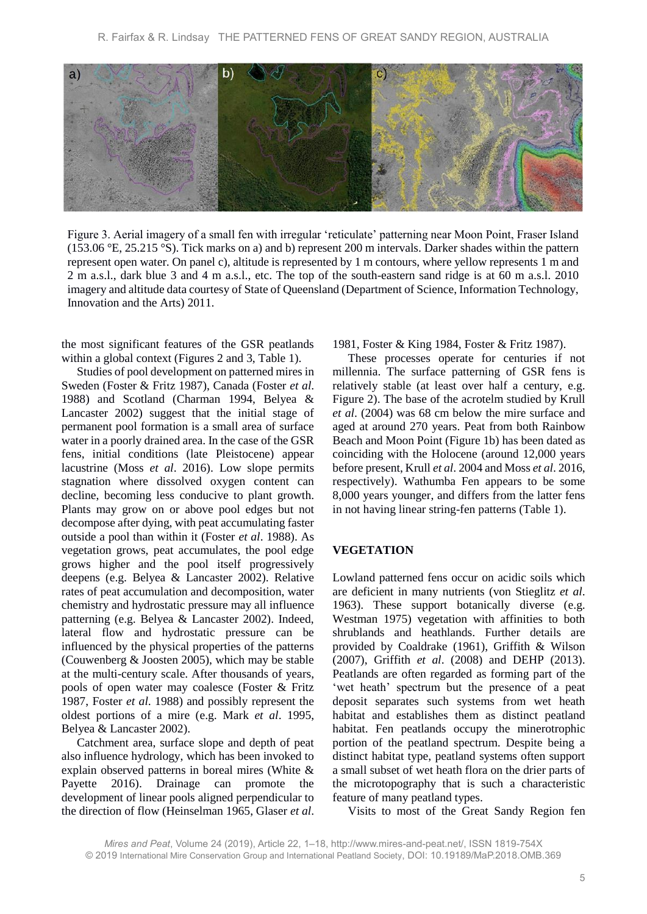

Figure 3. Aerial imagery of a small fen with irregular 'reticulate' patterning near Moon Point, Fraser Island (153.06 °E, 25.215 °S). Tick marks on a) and b) represent 200 m intervals. Darker shades within the pattern represent open water. On panel c), altitude is represented by 1 m contours, where yellow represents 1 m and 2 m a.s.l., dark blue 3 and 4 m a.s.l., etc. The top of the south-eastern sand ridge is at 60 m a.s.l. 2010 imagery and altitude data courtesy of State of Queensland (Department of Science, Information Technology, Innovation and the Arts) 2011.

the most significant features of the GSR peatlands within a global context (Figures 2 and 3, Table 1).

Studies of pool development on patterned mires in Sweden (Foster & Fritz 1987), Canada (Foster *et al*. 1988) and Scotland (Charman 1994, Belyea & Lancaster 2002) suggest that the initial stage of permanent pool formation is a small area of surface water in a poorly drained area. In the case of the GSR fens, initial conditions (late Pleistocene) appear lacustrine (Moss *et al*. 2016). Low slope permits stagnation where dissolved oxygen content can decline, becoming less conducive to plant growth. Plants may grow on or above pool edges but not decompose after dying, with peat accumulating faster outside a pool than within it (Foster *et al*. 1988). As vegetation grows, peat accumulates, the pool edge grows higher and the pool itself progressively deepens (e.g. Belyea & Lancaster 2002). Relative rates of peat accumulation and decomposition, water chemistry and hydrostatic pressure may all influence patterning (e.g. Belyea & Lancaster 2002). Indeed, lateral flow and hydrostatic pressure can be influenced by the physical properties of the patterns (Couwenberg & Joosten 2005), which may be stable at the multi-century scale. After thousands of years, pools of open water may coalesce (Foster & Fritz 1987, Foster *et al*. 1988) and possibly represent the oldest portions of a mire (e.g. Mark *et al*. 1995, Belyea & Lancaster 2002).

Catchment area, surface slope and depth of peat also influence hydrology, which has been invoked to explain observed patterns in boreal mires (White & Payette 2016). Drainage can promote the development of linear pools aligned perpendicular to the direction of flow (Heinselman 1965, Glaser *et al*.

1981, Foster & King 1984, Foster & Fritz 1987).

These processes operate for centuries if not millennia. The surface patterning of GSR fens is relatively stable (at least over half a century, e.g. Figure 2). The base of the acrotelm studied by Krull *et al*. (2004) was 68 cm below the mire surface and aged at around 270 years. Peat from both Rainbow Beach and Moon Point (Figure 1b) has been dated as coinciding with the Holocene (around 12,000 years before present, Krull *et al*. 2004 and Moss *et al*. 2016, respectively). Wathumba Fen appears to be some 8,000 years younger, and differs from the latter fens in not having linear string-fen patterns (Table 1).

#### **VEGETATION**

Lowland patterned fens occur on acidic soils which are deficient in many nutrients (von Stieglitz *et al*. 1963). These support botanically diverse (e.g. Westman 1975) vegetation with affinities to both shrublands and heathlands. Further details are provided by Coaldrake (1961), Griffith & Wilson (2007), Griffith *et al*. (2008) and DEHP (2013). Peatlands are often regarded as forming part of the 'wet heath' spectrum but the presence of a peat deposit separates such systems from wet heath habitat and establishes them as distinct peatland habitat. Fen peatlands occupy the minerotrophic portion of the peatland spectrum. Despite being a distinct habitat type, peatland systems often support a small subset of wet heath flora on the drier parts of the microtopography that is such a characteristic feature of many peatland types.

Visits to most of the Great Sandy Region fen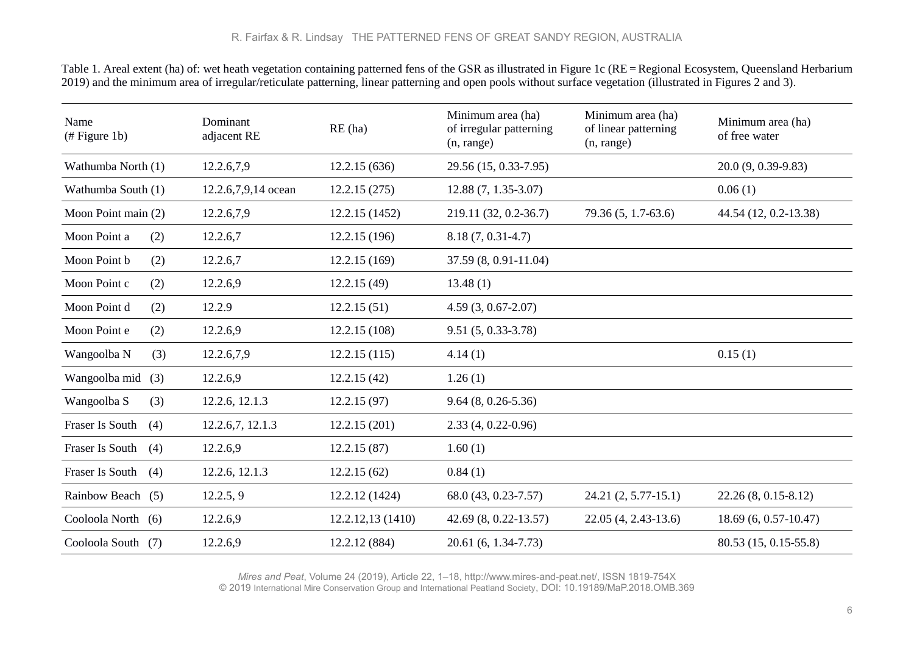Table 1. Areal extent (ha) of: wet heath vegetation containing patterned fens of the GSR as illustrated in Figure 1c (RE = Regional Ecosystem, Queensland Herbarium 2019) and the minimum area of irregular/reticulate patterning, linear patterning and open pools without surface vegetation (illustrated in Figures 2 and 3).

| Name<br>$#$ Figure 1b) | Dominant<br>adjacent RE | RE(ha)            | Minimum area (ha)<br>of irregular patterning<br>(n, range) | Minimum area (ha)<br>of linear patterning<br>(n, range) | Minimum area (ha)<br>of free water |
|------------------------|-------------------------|-------------------|------------------------------------------------------------|---------------------------------------------------------|------------------------------------|
| Wathumba North (1)     | 12.2.6,7,9              | 12.2.15(636)      | 29.56 (15, 0.33-7.95)                                      |                                                         | 20.0 (9, 0.39-9.83)                |
| Wathumba South (1)     | 12.2.6,7,9,14 ocean     | 12.2.15(275)      | $12.88(7, 1.35-3.07)$                                      |                                                         | 0.06(1)                            |
| Moon Point main (2)    | 12.2.6,7,9              | 12.2.15 (1452)    | 219.11 (32, 0.2-36.7)                                      | 79.36 (5, 1.7-63.6)                                     | 44.54 (12, 0.2-13.38)              |
| Moon Point a<br>(2)    | 12.2.6,7                | 12.2.15(196)      | $8.18(7, 0.31-4.7)$                                        |                                                         |                                    |
| Moon Point b<br>(2)    | 12.2.6,7                | 12.2.15(169)      | 37.59 (8, 0.91-11.04)                                      |                                                         |                                    |
| Moon Point c<br>(2)    | 12.2.6,9                | 12.2.15(49)       | 13.48(1)                                                   |                                                         |                                    |
| Moon Point d<br>(2)    | 12.2.9                  | 12.2.15(51)       | 4.59 (3, 0.67-2.07)                                        |                                                         |                                    |
| Moon Point e<br>(2)    | 12.2.6,9                | 12.2.15(108)      | $9.51(5, 0.33-3.78)$                                       |                                                         |                                    |
| Wangoolba N<br>(3)     | 12.2.6,7,9              | 12.2.15(115)      | 4.14(1)                                                    |                                                         | 0.15(1)                            |
| Wangoolba mid<br>(3)   | 12.2.6,9                | 12.2.15(42)       | 1.26(1)                                                    |                                                         |                                    |
| Wangoolba S<br>(3)     | 12.2.6, 12.1.3          | 12.2.15(97)       | $9.64(8, 0.26 - 5.36)$                                     |                                                         |                                    |
| Fraser Is South<br>(4) | 12.2.6,7, 12.1.3        | 12.2.15(201)      | $2.33(4, 0.22 - 0.96)$                                     |                                                         |                                    |
| Fraser Is South<br>(4) | 12.2.6,9                | 12.2.15(87)       | 1.60(1)                                                    |                                                         |                                    |
| Fraser Is South<br>(4) | 12.2.6, 12.1.3          | 12.2.15(62)       | 0.84(1)                                                    |                                                         |                                    |
| Rainbow Beach (5)      | 12.2.5, 9               | 12.2.12 (1424)    | 68.0 (43, 0.23-7.57)                                       | 24.21 (2, 5.77-15.1)                                    | $22.26(8, 0.15-8.12)$              |
| Cooloola North (6)     | 12.2.6,9                | 12.2.12, 13(1410) | 42.69 (8, 0.22-13.57)                                      | 22.05 (4, 2.43-13.6)                                    | 18.69 (6, 0.57-10.47)              |
| Cooloola South (7)     | 12.2.6,9                | 12.2.12 (884)     | 20.61 (6, 1.34-7.73)                                       |                                                         | 80.53 (15, 0.15-55.8)              |

*Mires and Peat*, Volume 24 (2019), Article 22, 1–18, http://www.mires-and-peat.net/, ISSN 1819-754X

© 2019 International Mire Conservation Group and International Peatland Society, DOI: 10.19189/MaP.2018.OMB.369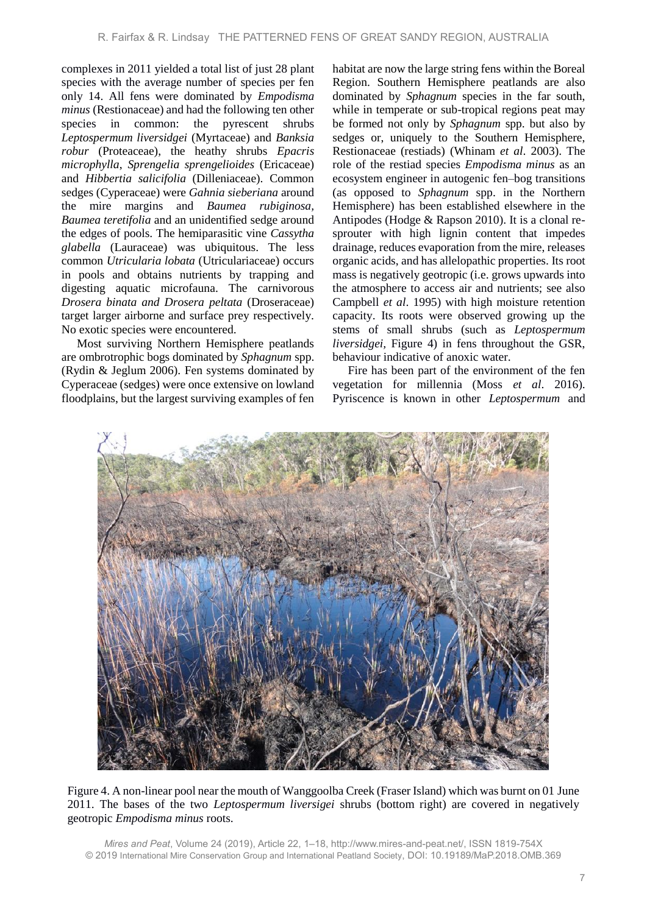complexes in 2011 yielded a total list of just 28 plant species with the average number of species per fen only 14. All fens were dominated by *Empodisma minus* (Restionaceae) and had the following ten other species in common: the pyrescent shrubs *Leptospermum liversidgei* (Myrtaceae) and *Banksia robur* (Proteaceae), the heathy shrubs *Epacris microphylla*, *Sprengelia sprengelioides* (Ericaceae) and *Hibbertia salicifolia* (Dilleniaceae). Common sedges (Cyperaceae) were *Gahnia sieberiana* around the mire margins and *Baumea rubiginosa, Baumea teretifolia* and an unidentified sedge around the edges of pools. The hemiparasitic vine *Cassytha glabella* (Lauraceae) was ubiquitous. The less common *Utricularia lobata* (Utriculariaceae) occurs in pools and obtains nutrients by trapping and digesting aquatic microfauna. The carnivorous *Drosera binata and Drosera peltata* (Droseraceae) target larger airborne and surface prey respectively. No exotic species were encountered.

Most surviving Northern Hemisphere peatlands are ombrotrophic bogs dominated by *Sphagnum* spp. (Rydin & Jeglum 2006). Fen systems dominated by Cyperaceae (sedges) were once extensive on lowland floodplains, but the largest surviving examples of fen habitat are now the large string fens within the Boreal Region. Southern Hemisphere peatlands are also dominated by *Sphagnum* species in the far south, while in temperate or sub-tropical regions peat may be formed not only by *Sphagnum* spp. but also by sedges or, uniquely to the Southern Hemisphere, Restionaceae (restiads) (Whinam *et al*. 2003). The role of the restiad species *Empodisma minus* as an ecosystem engineer in autogenic fen–bog transitions (as opposed to *Sphagnum* spp. in the Northern Hemisphere) has been established elsewhere in the Antipodes (Hodge & Rapson 2010). It is a clonal resprouter with high lignin content that impedes drainage, reduces evaporation from the mire, releases organic acids, and has allelopathic properties. Its root mass is negatively geotropic (i.e. grows upwards into the atmosphere to access air and nutrients; see also Campbell *et al*. 1995) with high moisture retention capacity. Its roots were observed growing up the stems of small shrubs (such as *Leptospermum liversidgei,* Figure 4) in fens throughout the GSR, behaviour indicative of anoxic water.

Fire has been part of the environment of the fen vegetation for millennia (Moss *et al*. 2016). Pyriscence is known in other *Leptospermum* and



Figure 4. A non-linear pool near the mouth of Wanggoolba Creek (Fraser Island) which was burnt on 01 June 2011. The bases of the two *Leptospermum liversigei* shrubs (bottom right) are covered in negatively geotropic *Empodisma minus* roots.

*Mires and Peat*, Volume 24 (2019), Article 22, 1–18, http://www.mires-and-peat.net/, ISSN 1819-754X © 2019 International Mire Conservation Group and International Peatland Society, DOI: 10.19189/MaP.2018.OMB.369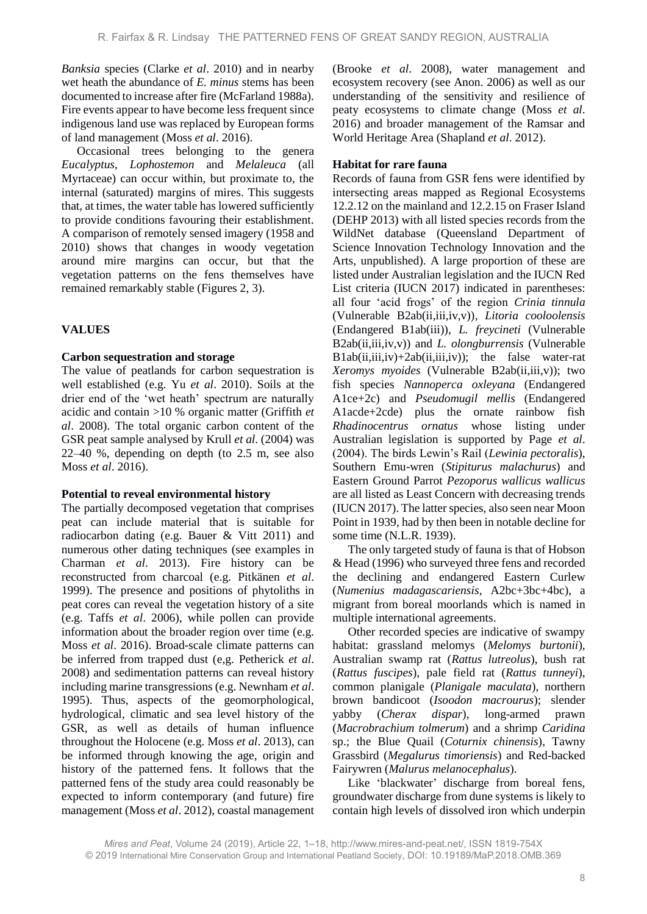*Banksia* species (Clarke *et al*. 2010) and in nearby wet heath the abundance of *E. minus* stems has been documented to increase after fire (McFarland 1988a). Fire events appear to have become less frequent since indigenous land use was replaced by European forms of land management (Moss *et al*. 2016).

Occasional trees belonging to the genera *Eucalyptus*, *Lophostemon* and *Melaleuca* (all Myrtaceae) can occur within, but proximate to, the internal (saturated) margins of mires. This suggests that, at times, the water table has lowered sufficiently to provide conditions favouring their establishment. A comparison of remotely sensed imagery (1958 and 2010) shows that changes in woody vegetation around mire margins can occur, but that the vegetation patterns on the fens themselves have remained remarkably stable (Figures 2, 3).

# **VALUES**

## **Carbon sequestration and storage**

The value of peatlands for carbon sequestration is well established (e.g. Yu *et al*. 2010). Soils at the drier end of the 'wet heath' spectrum are naturally acidic and contain >10 % organic matter (Griffith *et al*. 2008). The total organic carbon content of the GSR peat sample analysed by Krull *et al*. (2004) was 22–40 %, depending on depth (to 2.5 m, see also Moss *et al*. 2016).

## **Potential to reveal environmental history**

The partially decomposed vegetation that comprises peat can include material that is suitable for radiocarbon dating (e.g. Bauer & Vitt 2011) and numerous other dating techniques (see examples in Charman *et al*. 2013). Fire history can be reconstructed from charcoal (e.g. Pitkänen *et al*. 1999). The presence and positions of phytoliths in peat cores can reveal the vegetation history of a site (e.g. Taffs *et al*. 2006), while pollen can provide information about the broader region over time (e.g. Moss *et al*. 2016). Broad-scale climate patterns can be inferred from trapped dust (e,g. Petherick *et al*. 2008) and sedimentation patterns can reveal history including marine transgressions (e.g. Newnham *et al*. 1995). Thus, aspects of the geomorphological, hydrological, climatic and sea level history of the GSR, as well as details of human influence throughout the Holocene (e.g. Moss *et al*. 2013), can be informed through knowing the age, origin and history of the patterned fens. It follows that the patterned fens of the study area could reasonably be expected to inform contemporary (and future) fire management (Moss *et al*. 2012), coastal management (Brooke *et al*. 2008), water management and ecosystem recovery (see Anon. 2006) as well as our understanding of the sensitivity and resilience of peaty ecosystems to climate change (Moss *et al*. 2016) and broader management of the Ramsar and World Heritage Area (Shapland *et al*. 2012).

### **Habitat for rare fauna**

Records of fauna from GSR fens were identified by intersecting areas mapped as Regional Ecosystems 12.2.12 on the mainland and 12.2.15 on Fraser Island (DEHP 2013) with all listed species records from the WildNet database (Queensland Department of Science Innovation Technology Innovation and the Arts, unpublished). A large proportion of these are listed under Australian legislation and the IUCN Red List criteria (IUCN 2017) indicated in parentheses: all four 'acid frogs' of the region *Crinia tinnula* (Vulnerable B2ab(ii,iii,iv,v))*, Litoria cooloolensis*  (Endangered B1ab(iii))*, L. freycineti* (Vulnerable B2ab(ii,iii,iv,v)) and *L. olongburrensis* (Vulnerable  $B1ab(ii,iii,iv)+2ab(ii,iii,iv)$ ; the false water-rat *Xeromys myoides* (Vulnerable B2ab(ii,iii,v)); two fish species *Nannoperca oxleyana* (Endangered A1ce+2c) and *Pseudomugil mellis* (Endangered A1acde+2cde) plus the ornate rainbow fish *Rhadinocentrus ornatus* whose listing under Australian legislation is supported by Page *et al*. (2004). The birds Lewin's Rail (*Lewinia pectoralis*), Southern Emu-wren (*Stipiturus malachurus*) and Eastern Ground Parrot *Pezoporus wallicus wallicus* are all listed as Least Concern with decreasing trends (IUCN 2017). The latter species, also seen near Moon Point in 1939, had by then been in notable decline for some time (N.L.R. 1939).

The only targeted study of fauna is that of Hobson & Head (1996) who surveyed three fens and recorded the declining and endangered Eastern Curlew (*Numenius madagascariensis,* A2bc+3bc+4bc), a migrant from boreal moorlands which is named in multiple international agreements.

Other recorded species are indicative of swampy habitat: grassland melomys (*Melomys burtonii*), Australian swamp rat (*Rattus lutreolus*), bush rat (*Rattus fuscipes*), pale field rat (*Rattus tunneyi*), common planigale (*Planigale maculata*), northern brown bandicoot (*Isoodon macrourus*); slender yabby (*Cherax dispar*), long-armed prawn (*Macrobrachium tolmerum*) and a shrimp *Caridina* sp.; the Blue Quail (*Coturnix chinensis*), Tawny Grassbird (*Megalurus timoriensis*) and Red-backed Fairywren (*Malurus melanocephalus*).

Like 'blackwater' discharge from boreal fens, groundwater discharge from dune systems is likely to contain high levels of dissolved iron which underpin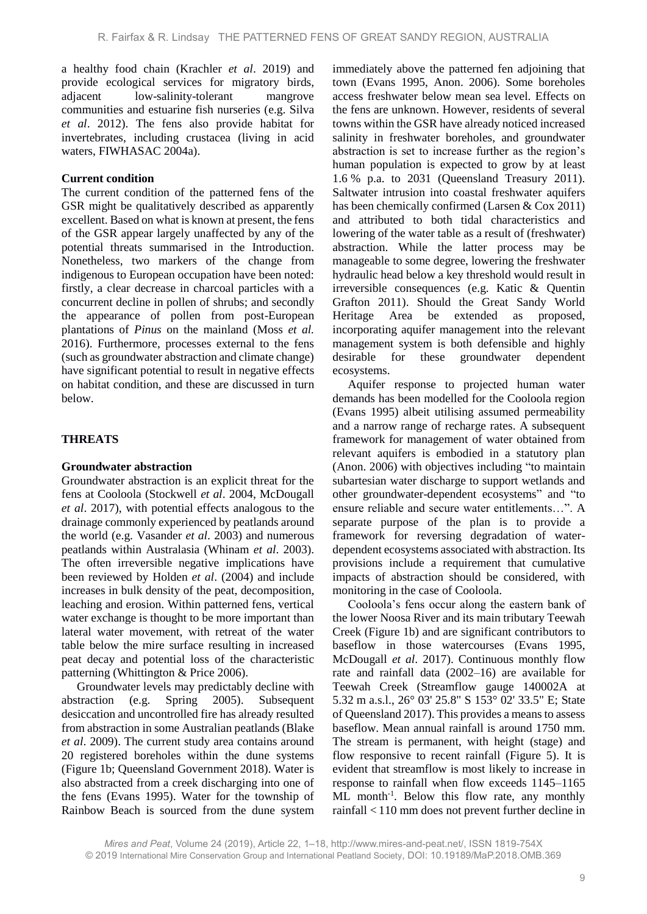a healthy food chain (Krachler *et al*. 2019) and provide ecological services for migratory birds, adjacent low-salinity-tolerant mangrove communities and estuarine fish nurseries (e.g. Silva *et al*. 2012). The fens also provide habitat for invertebrates, including crustacea (living in acid waters, FIWHASAC 2004a).

### **Current condition**

The current condition of the patterned fens of the GSR might be qualitatively described as apparently excellent. Based on what is known at present, the fens of the GSR appear largely unaffected by any of the potential threats summarised in the Introduction. Nonetheless, two markers of the change from indigenous to European occupation have been noted: firstly, a clear decrease in charcoal particles with a concurrent decline in pollen of shrubs; and secondly the appearance of pollen from post-European plantations of *Pinus* on the mainland (Moss *et al.* 2016). Furthermore, processes external to the fens (such as groundwater abstraction and climate change) have significant potential to result in negative effects on habitat condition, and these are discussed in turn below.

## **THREATS**

### **Groundwater abstraction**

Groundwater abstraction is an explicit threat for the fens at Cooloola (Stockwell *et al*. 2004, McDougall *et al*. 2017), with potential effects analogous to the drainage commonly experienced by peatlands around the world (e.g. Vasander *et al*. 2003) and numerous peatlands within Australasia (Whinam *et al*. 2003). The often irreversible negative implications have been reviewed by Holden *et al*. (2004) and include increases in bulk density of the peat, decomposition, leaching and erosion. Within patterned fens, vertical water exchange is thought to be more important than lateral water movement, with retreat of the water table below the mire surface resulting in increased peat decay and potential loss of the characteristic patterning (Whittington & Price 2006).

Groundwater levels may predictably decline with abstraction (e.g. Spring 2005). Subsequent desiccation and uncontrolled fire has already resulted from abstraction in some Australian peatlands (Blake *et al*. 2009). The current study area contains around 20 registered boreholes within the dune systems (Figure 1b; Queensland Government 2018). Water is also abstracted from a creek discharging into one of the fens (Evans 1995). Water for the township of Rainbow Beach is sourced from the dune system

immediately above the patterned fen adjoining that town (Evans 1995, Anon. 2006). Some boreholes access freshwater below mean sea level. Effects on the fens are unknown. However, residents of several towns within the GSR have already noticed increased salinity in freshwater boreholes, and groundwater abstraction is set to increase further as the region's human population is expected to grow by at least 1.6 % p.a. to 2031 (Queensland Treasury 2011). Saltwater intrusion into coastal freshwater aquifers has been chemically confirmed (Larsen & Cox 2011) and attributed to both tidal characteristics and lowering of the water table as a result of (freshwater) abstraction. While the latter process may be manageable to some degree, lowering the freshwater hydraulic head below a key threshold would result in irreversible consequences (e.g. Katic & Quentin Grafton 2011). Should the Great Sandy World Heritage Area be extended as proposed, incorporating aquifer management into the relevant management system is both defensible and highly desirable for these groundwater dependent ecosystems.

Aquifer response to projected human water demands has been modelled for the Cooloola region (Evans 1995) albeit utilising assumed permeability and a narrow range of recharge rates. A subsequent framework for management of water obtained from relevant aquifers is embodied in a statutory plan (Anon. 2006) with objectives including "to maintain subartesian water discharge to support wetlands and other groundwater-dependent ecosystems" and "to ensure reliable and secure water entitlements…". A separate purpose of the plan is to provide a framework for reversing degradation of waterdependent ecosystems associated with abstraction. Its provisions include a requirement that cumulative impacts of abstraction should be considered, with monitoring in the case of Cooloola.

Cooloola's fens occur along the eastern bank of the lower Noosa River and its main tributary Teewah Creek (Figure 1b) and are significant contributors to baseflow in those watercourses (Evans 1995, McDougall *et al*. 2017). Continuous monthly flow rate and rainfall data (2002–16) are available for Teewah Creek (Streamflow gauge 140002A at 5.32 m a.s.l., 26° 03' 25.8" S 153° 02' 33.5" E; State of Queensland 2017). This provides a means to assess baseflow. Mean annual rainfall is around 1750 mm. The stream is permanent, with height (stage) and flow responsive to recent rainfall (Figure 5). It is evident that streamflow is most likely to increase in response to rainfall when flow exceeds 1145–1165 ML month<sup>-1</sup>. Below this flow rate, any monthly rainfall < 110 mm does not prevent further decline in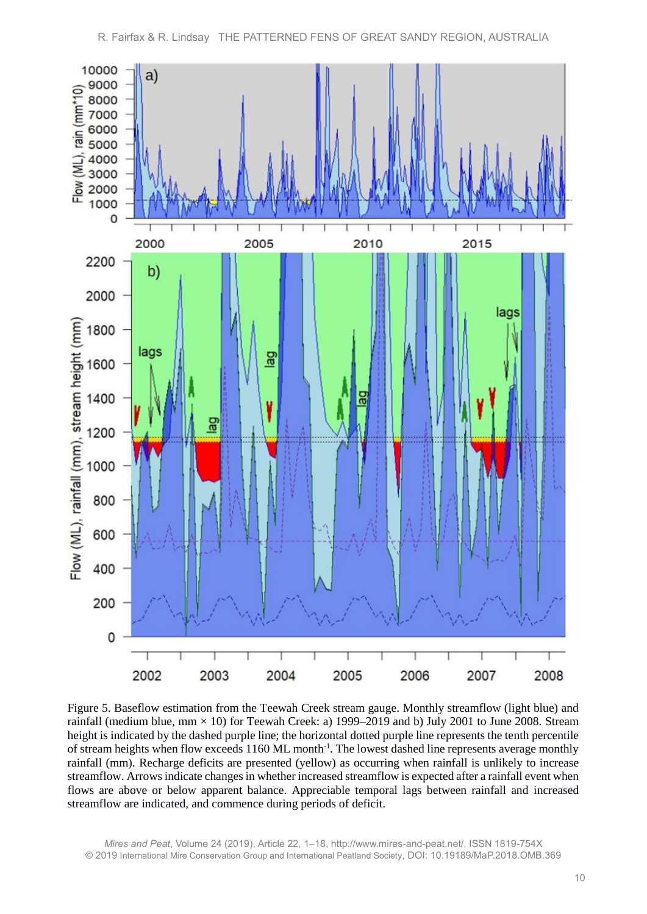

Figure 5. Baseflow estimation from the Teewah Creek stream gauge. Monthly streamflow (light blue) and rainfall (medium blue,  $mm \times 10$ ) for Teewah Creek: a) 1999–2019 and b) July 2001 to June 2008. Stream height is indicated by the dashed purple line; the horizontal dotted purple line represents the tenth percentile of stream heights when flow exceeds 1160 ML month<sup>-1</sup>. The lowest dashed line represents average monthly rainfall (mm). Recharge deficits are presented (yellow) as occurring when rainfall is unlikely to increase streamflow. Arrows indicate changes in whether increased streamflow is expected after a rainfall event when flows are above or below apparent balance. Appreciable temporal lags between rainfall and increased streamflow are indicated, and commence during periods of deficit.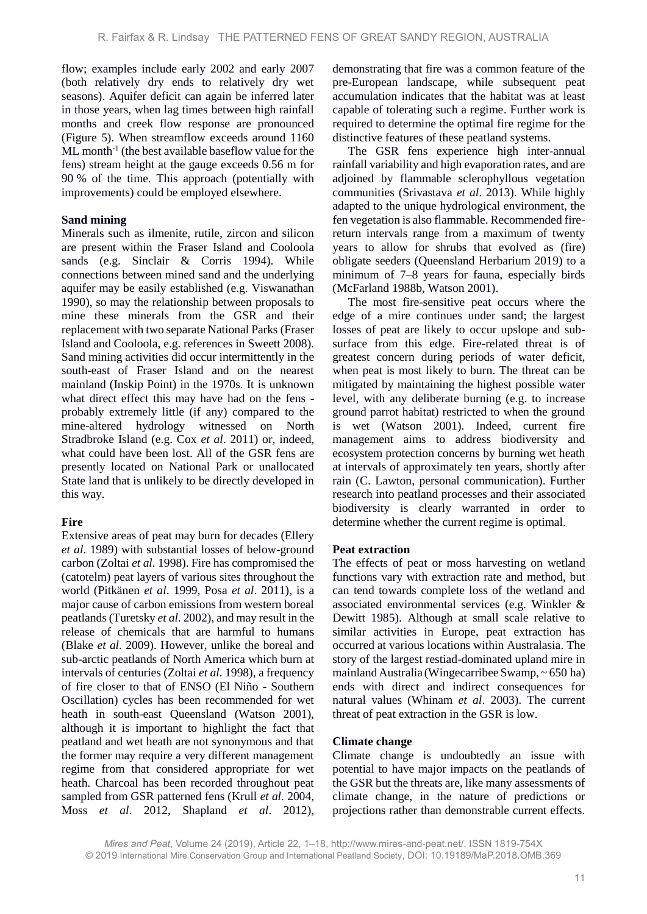flow; examples include early 2002 and early 2007 (both relatively dry ends to relatively dry wet seasons). Aquifer deficit can again be inferred later in those years, when lag times between high rainfall months and creek flow response are pronounced (Figure 5). When streamflow exceeds around 1160 ML month<sup>-1</sup> (the best available baseflow value for the fens) stream height at the gauge exceeds 0.56 m for 90 % of the time. This approach (potentially with improvements) could be employed elsewhere.

### **Sand mining**

Minerals such as ilmenite, rutile, zircon and silicon are present within the Fraser Island and Cooloola sands (e.g. Sinclair & Corris 1994). While connections between mined sand and the underlying aquifer may be easily established (e.g. Viswanathan 1990), so may the relationship between proposals to mine these minerals from the GSR and their replacement with two separate National Parks (Fraser Island and Cooloola, e.g. references in Sweett 2008). Sand mining activities did occur intermittently in the south-east of Fraser Island and on the nearest mainland (Inskip Point) in the 1970s. It is unknown what direct effect this may have had on the fens probably extremely little (if any) compared to the mine-altered hydrology witnessed on North Stradbroke Island (e.g. Cox *et al*. 2011) or, indeed, what could have been lost. All of the GSR fens are presently located on National Park or unallocated State land that is unlikely to be directly developed in this way.

## **Fire**

Extensive areas of peat may burn for decades (Ellery *et al*. 1989) with substantial losses of below-ground carbon (Zoltai *et al*. 1998). Fire has compromised the (catotelm) peat layers of various sites throughout the world (Pitkänen *et al*. 1999, Posa *et al*. 2011), is a major cause of carbon emissions from western boreal peatlands (Turetsky *et al*. 2002), and may result in the release of chemicals that are harmful to humans (Blake *et al*. 2009). However, unlike the boreal and sub-arctic peatlands of North America which burn at intervals of centuries (Zoltai *et al*. 1998), a frequency of fire closer to that of ENSO (El Niño - Southern Oscillation) cycles has been recommended for wet heath in south-east Queensland (Watson 2001), although it is important to highlight the fact that peatland and wet heath are not synonymous and that the former may require a very different management regime from that considered appropriate for wet heath. Charcoal has been recorded throughout peat sampled from GSR patterned fens (Krull *et al*. 2004, Moss *et al*. 2012, Shapland *et al*. 2012),

demonstrating that fire was a common feature of the pre-European landscape, while subsequent peat accumulation indicates that the habitat was at least capable of tolerating such a regime. Further work is required to determine the optimal fire regime for the distinctive features of these peatland systems.

The GSR fens experience high inter-annual rainfall variability and high evaporation rates, and are adjoined by flammable sclerophyllous vegetation communities (Srivastava *et al*. 2013). While highly adapted to the unique hydrological environment, the fen vegetation is also flammable. Recommended firereturn intervals range from a maximum of twenty years to allow for shrubs that evolved as (fire) obligate seeders (Queensland Herbarium 2019) to a minimum of 7–8 years for fauna, especially birds (McFarland 1988b, Watson 2001).

The most fire-sensitive peat occurs where the edge of a mire continues under sand; the largest losses of peat are likely to occur upslope and subsurface from this edge. Fire-related threat is of greatest concern during periods of water deficit, when peat is most likely to burn. The threat can be mitigated by maintaining the highest possible water level, with any deliberate burning (e.g. to increase ground parrot habitat) restricted to when the ground is wet (Watson 2001). Indeed, current fire management aims to address biodiversity and ecosystem protection concerns by burning wet heath at intervals of approximately ten years, shortly after rain (C. Lawton, personal communication). Further research into peatland processes and their associated biodiversity is clearly warranted in order to determine whether the current regime is optimal.

## **Peat extraction**

The effects of peat or moss harvesting on wetland functions vary with extraction rate and method, but can tend towards complete loss of the wetland and associated environmental services (e.g. Winkler & Dewitt 1985). Although at small scale relative to similar activities in Europe, peat extraction has occurred at various locations within Australasia. The story of the largest restiad-dominated upland mire in mainland Australia (Wingecarribee Swamp, ~ 650 ha) ends with direct and indirect consequences for natural values (Whinam *et al*. 2003). The current threat of peat extraction in the GSR is low.

### **Climate change**

Climate change is undoubtedly an issue with potential to have major impacts on the peatlands of the GSR but the threats are, like many assessments of climate change, in the nature of predictions or projections rather than demonstrable current effects.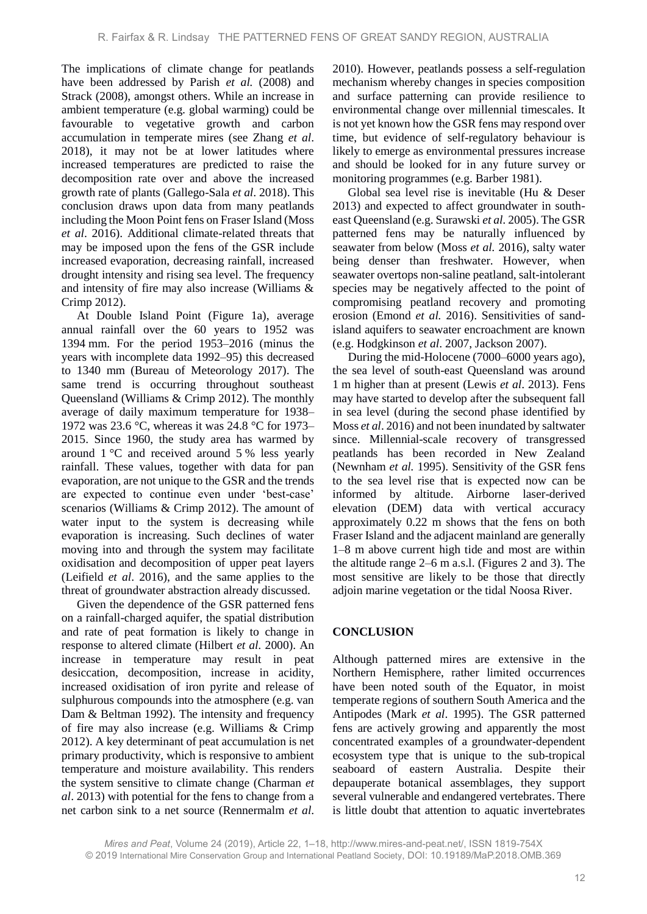The implications of climate change for peatlands have been addressed by Parish *et al.* (2008) and Strack (2008), amongst others. While an increase in ambient temperature (e.g. global warming) could be favourable to vegetative growth and carbon accumulation in temperate mires (see Zhang *et al*. 2018), it may not be at lower latitudes where increased temperatures are predicted to raise the decomposition rate over and above the increased growth rate of plants (Gallego-Sala *et al*. 2018). This conclusion draws upon data from many peatlands including the Moon Point fens on Fraser Island (Moss *et al*. 2016). Additional climate-related threats that may be imposed upon the fens of the GSR include increased evaporation, decreasing rainfall, increased drought intensity and rising sea level. The frequency and intensity of fire may also increase (Williams & Crimp 2012).

At Double Island Point (Figure 1a), average annual rainfall over the 60 years to 1952 was 1394 mm. For the period 1953–2016 (minus the years with incomplete data 1992–95) this decreased to 1340 mm (Bureau of Meteorology 2017). The same trend is occurring throughout southeast Queensland (Williams & Crimp 2012). The monthly average of daily maximum temperature for 1938– 1972 was 23.6 °C, whereas it was 24.8 °C for 1973– 2015. Since 1960, the study area has warmed by around 1 °C and received around 5 % less yearly rainfall. These values, together with data for pan evaporation, are not unique to the GSR and the trends are expected to continue even under 'best-case' scenarios (Williams & Crimp 2012). The amount of water input to the system is decreasing while evaporation is increasing. Such declines of water moving into and through the system may facilitate oxidisation and decomposition of upper peat layers (Leifield *et al*. 2016), and the same applies to the threat of groundwater abstraction already discussed.

Given the dependence of the GSR patterned fens on a rainfall-charged aquifer, the spatial distribution and rate of peat formation is likely to change in response to altered climate (Hilbert *et al.* 2000). An increase in temperature may result in peat desiccation, decomposition, increase in acidity, increased oxidisation of iron pyrite and release of sulphurous compounds into the atmosphere (e.g. van Dam & Beltman 1992). The intensity and frequency of fire may also increase (e.g. Williams & Crimp 2012). A key determinant of peat accumulation is net primary productivity, which is responsive to ambient temperature and moisture availability. This renders the system sensitive to climate change (Charman *et al*. 2013) with potential for the fens to change from a net carbon sink to a net source (Rennermalm *et al*.

2010). However, peatlands possess a self-regulation mechanism whereby changes in species composition and surface patterning can provide resilience to environmental change over millennial timescales. It is not yet known how the GSR fens may respond over time, but evidence of self-regulatory behaviour is likely to emerge as environmental pressures increase and should be looked for in any future survey or monitoring programmes (e.g. Barber 1981).

Global sea level rise is inevitable (Hu & Deser 2013) and expected to affect groundwater in southeast Queensland (e.g. Surawski *et al.* 2005). The GSR patterned fens may be naturally influenced by seawater from below (Moss *et al.* 2016), salty water being denser than freshwater. However, when seawater overtops non-saline peatland, salt-intolerant species may be negatively affected to the point of compromising peatland recovery and promoting erosion (Emond *et al.* 2016). Sensitivities of sandisland aquifers to seawater encroachment are known (e.g. Hodgkinson *et al*. 2007, Jackson 2007).

During the mid-Holocene (7000–6000 years ago), the sea level of south-east Queensland was around 1 m higher than at present (Lewis *et al*. 2013). Fens may have started to develop after the subsequent fall in sea level (during the second phase identified by Moss *et al*. 2016) and not been inundated by saltwater since. Millennial-scale recovery of transgressed peatlands has been recorded in New Zealand (Newnham *et al.* 1995). Sensitivity of the GSR fens to the sea level rise that is expected now can be informed by altitude. Airborne laser-derived elevation (DEM) data with vertical accuracy approximately 0.22 m shows that the fens on both Fraser Island and the adjacent mainland are generally 1–8 m above current high tide and most are within the altitude range 2–6 m a.s.l. (Figures 2 and 3). The most sensitive are likely to be those that directly adjoin marine vegetation or the tidal Noosa River.

## **CONCLUSION**

Although patterned mires are extensive in the Northern Hemisphere, rather limited occurrences have been noted south of the Equator, in moist temperate regions of southern South America and the Antipodes (Mark *et al*. 1995). The GSR patterned fens are actively growing and apparently the most concentrated examples of a groundwater-dependent ecosystem type that is unique to the sub-tropical seaboard of eastern Australia. Despite their depauperate botanical assemblages, they support several vulnerable and endangered vertebrates. There is little doubt that attention to aquatic invertebrates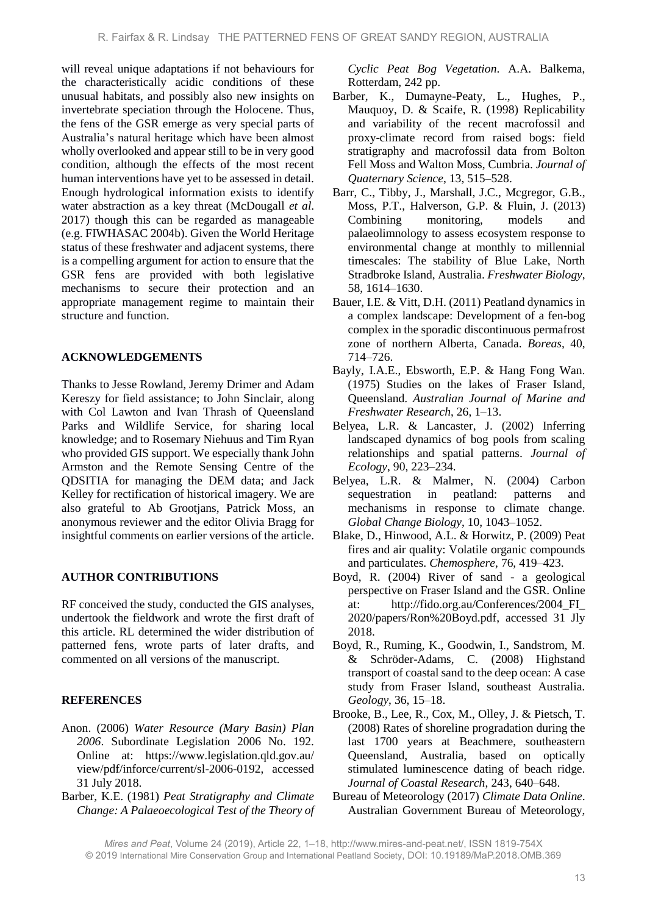will reveal unique adaptations if not behaviours for the characteristically acidic conditions of these unusual habitats, and possibly also new insights on invertebrate speciation through the Holocene. Thus, the fens of the GSR emerge as very special parts of Australia's natural heritage which have been almost wholly overlooked and appear still to be in very good condition, although the effects of the most recent human interventions have yet to be assessed in detail. Enough hydrological information exists to identify water abstraction as a key threat (McDougall *et al*. 2017) though this can be regarded as manageable (e.g. FIWHASAC 2004b). Given the World Heritage status of these freshwater and adjacent systems, there is a compelling argument for action to ensure that the GSR fens are provided with both legislative mechanisms to secure their protection and an appropriate management regime to maintain their structure and function.

### **ACKNOWLEDGEMENTS**

Thanks to Jesse Rowland, Jeremy Drimer and Adam Kereszy for field assistance; to John Sinclair, along with Col Lawton and Ivan Thrash of Queensland Parks and Wildlife Service, for sharing local knowledge; and to Rosemary Niehuus and Tim Ryan who provided GIS support. We especially thank John Armston and the Remote Sensing Centre of the QDSITIA for managing the DEM data; and Jack Kelley for rectification of historical imagery. We are also grateful to Ab Grootjans, Patrick Moss, an anonymous reviewer and the editor Olivia Bragg for insightful comments on earlier versions of the article.

### **AUTHOR CONTRIBUTIONS**

RF conceived the study, conducted the GIS analyses, undertook the fieldwork and wrote the first draft of this article. RL determined the wider distribution of patterned fens, wrote parts of later drafts, and commented on all versions of the manuscript.

## **REFERENCES**

- Anon. (2006) *Water Resource (Mary Basin) Plan 2006*. Subordinate Legislation 2006 No. 192. Online at: https://www.legislation.qld.gov.au/ view/pdf/inforce/current/sl-2006-0192, accessed 31 July 2018.
- Barber, K.E. (1981) *Peat Stratigraphy and Climate Change: A Palaeoecological Test of the Theory of*

*Cyclic Peat Bog Vegetation*. A.A. Balkema, Rotterdam, 242 pp.

- Barber, K., Dumayne-Peaty, L., Hughes, P., Mauquoy, D. & Scaife, R. (1998) Replicability and variability of the recent macrofossil and proxy-climate record from raised bogs: field stratigraphy and macrofossil data from Bolton Fell Moss and Walton Moss, Cumbria. *Journal of Quaternary Science*, 13, 515–528.
- Barr, C., Tibby, J., Marshall, J.C., Mcgregor, G.B., Moss, P.T., Halverson, G.P. & Fluin, J. (2013) Combining monitoring, models and palaeolimnology to assess ecosystem response to environmental change at monthly to millennial timescales: The stability of Blue Lake, North Stradbroke Island, Australia. *Freshwater Biology*, 58, 1614–1630.
- Bauer, I.E. & Vitt, D.H. (2011) Peatland dynamics in a complex landscape: Development of a fen-bog complex in the sporadic discontinuous permafrost zone of northern Alberta, Canada. *Boreas*, 40, 714–726.
- Bayly, I.A.E., Ebsworth, E.P. & Hang Fong Wan. (1975) Studies on the lakes of Fraser Island, Queensland. *Australian Journal of Marine and Freshwater Research*, 26, 1–13.
- Belyea, L.R. & Lancaster, J. (2002) Inferring landscaped dynamics of bog pools from scaling relationships and spatial patterns. *Journal of Ecology*, 90, 223–234.
- Belyea, L.R. & Malmer, N. (2004) Carbon sequestration in peatland: patterns and mechanisms in response to climate change. *Global Change Biology*, 10, 1043–1052.
- Blake, D., Hinwood, A.L. & Horwitz, P. (2009) Peat fires and air quality: Volatile organic compounds and particulates. *Chemosphere*, 76, 419–423.
- Boyd, R. (2004) River of sand a geological perspective on Fraser Island and the GSR. Online at: http://fido.org.au/Conferences/2004\_FI\_ 2020/papers/Ron%20Boyd.pdf, accessed 31 Jly 2018.
- Boyd, R., Ruming, K., Goodwin, I., Sandstrom, M. & Schröder-Adams, C. (2008) Highstand transport of coastal sand to the deep ocean: A case study from Fraser Island, southeast Australia. *Geology*, 36, 15–18.
- Brooke, B., Lee, R., Cox, M., Olley, J. & Pietsch, T. (2008) Rates of shoreline progradation during the last 1700 years at Beachmere, southeastern Queensland, Australia, based on optically stimulated luminescence dating of beach ridge. *Journal of Coastal Research*, 243, 640–648.
- Bureau of Meteorology (2017) *Climate Data Online*. Australian Government Bureau of Meteorology,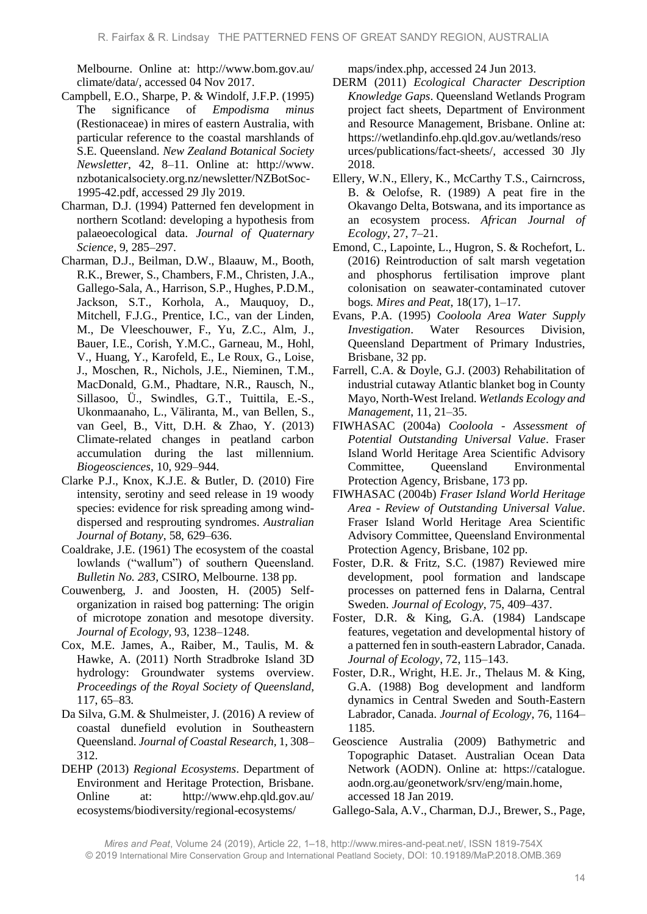Melbourne. Online at: http://www.bom.gov.au/ climate/data/, accessed 04 Nov 2017.

- Campbell, E.O., Sharpe, P. & Windolf, J.F.P. (1995) The significance of *Empodisma minus* (Restionaceae) in mires of eastern Australia, with particular reference to the coastal marshlands of S.E. Queensland. *New Zealand Botanical Society Newsletter*, 42, 8–11. Online at: http://www. nzbotanicalsociety.org.nz/newsletter/NZBotSoc-1995-42.pdf, accessed 29 Jly 2019.
- Charman, D.J. (1994) Patterned fen development in northern Scotland: developing a hypothesis from palaeoecological data. *Journal of Quaternary Science*, 9, 285–297.
- Charman, D.J., Beilman, D.W., Blaauw, M., Booth, R.K., Brewer, S., Chambers, F.M., Christen, J.A., Gallego-Sala, A., Harrison, S.P., Hughes, P.D.M., Jackson, S.T., Korhola, A., Mauquoy, D., Mitchell, F.J.G., Prentice, I.C., van der Linden, M., De Vleeschouwer, F., Yu, Z.C., Alm, J., Bauer, I.E., Corish, Y.M.C., Garneau, M., Hohl, V., Huang, Y., Karofeld, E., Le Roux, G., Loise, J., Moschen, R., Nichols, J.E., Nieminen, T.M., MacDonald, G.M., Phadtare, N.R., Rausch, N., Sillasoo, Ü., Swindles, G.T., Tuittila, E.-S., Ukonmaanaho, L., Väliranta, M., van Bellen, S., van Geel, B., Vitt, D.H. & Zhao, Y. (2013) Climate-related changes in peatland carbon accumulation during the last millennium. *Biogeosciences*, 10, 929–944.
- Clarke P.J., Knox, K.J.E. & Butler, D. (2010) Fire intensity, serotiny and seed release in 19 woody species: evidence for risk spreading among winddispersed and resprouting syndromes. *Australian Journal of Botany*, 58, 629–636.
- Coaldrake, J.E. (1961) The ecosystem of the coastal lowlands ("wallum") of southern Queensland. *Bulletin No. 283*, CSIRO, Melbourne. 138 pp.
- Couwenberg, J. and Joosten, H. (2005) Selforganization in raised bog patterning: The origin of microtope zonation and mesotope diversity. *Journal of Ecology,* 93, 1238–1248.
- Cox, M.E. James, A., Raiber, M., Taulis, M. & Hawke, A. (2011) North Stradbroke Island 3D hydrology: Groundwater systems overview. *Proceedings of the Royal Society of Queensland*, 117, 65–83.
- Da Silva, G.M. & Shulmeister, J. (2016) A review of coastal dunefield evolution in Southeastern Queensland. *Journal of Coastal Research,* 1, 308– 312.
- DEHP (2013) *Regional Ecosystems*. Department of Environment and Heritage Protection, Brisbane. Online at: http://www.ehp.qld.gov.au/ ecosystems/biodiversity/regional-ecosystems/

maps/index.php, accessed 24 Jun 2013.

- DERM (2011) *Ecological Character Description Knowledge Gaps*. Queensland Wetlands Program project fact sheets, Department of Environment and Resource Management, Brisbane. Online at: https://wetlandinfo.ehp.qld.gov.au/wetlands/reso urces/publications/fact-sheets/, accessed 30 Jly 2018.
- Ellery, W.N., Ellery, K., McCarthy T.S., Cairncross, B. & Oelofse, R. (1989) A peat fire in the Okavango Delta, Botswana, and its importance as an ecosystem process. *African Journal of Ecology*, 27, 7–21.
- Emond, C., Lapointe, L., Hugron, S. & Rochefort, L. (2016) Reintroduction of salt marsh vegetation and phosphorus fertilisation improve plant colonisation on seawater-contaminated cutover bogs*. Mires and Peat*, 18(17)*,* 1–17*.*
- Evans, P.A. (1995) *Cooloola Area Water Supply Investigation*. Water Resources Division, Queensland Department of Primary Industries, Brisbane, 32 pp.
- Farrell, C.A. & Doyle, G.J. (2003) Rehabilitation of industrial cutaway Atlantic blanket bog in County Mayo, North-West Ireland. *Wetlands Ecology and Management*, 11, 21–35.
- FIWHASAC (2004a) *Cooloola - Assessment of Potential Outstanding Universal Value*. Fraser Island World Heritage Area Scientific Advisory Committee, Queensland Environmental Protection Agency, Brisbane, 173 pp.
- FIWHASAC (2004b) *Fraser Island World Heritage Area - Review of Outstanding Universal Value*. Fraser Island World Heritage Area Scientific Advisory Committee, Queensland Environmental Protection Agency, Brisbane, 102 pp.
- Foster, D.R. & Fritz, S.C. (1987) Reviewed mire development, pool formation and landscape processes on patterned fens in Dalarna, Central Sweden. *Journal of Ecology*, 75, 409–437.
- Foster, D.R. & King, G.A. (1984) Landscape features, vegetation and developmental history of a patterned fen in south-eastern Labrador, Canada. *Journal of Ecology*, 72, 115–143.
- Foster, D.R., Wright, H.E. Jr., Thelaus M. & King, G.A. (1988) Bog development and landform dynamics in Central Sweden and South-Eastern Labrador, Canada. *Journal of Ecology*, 76, 1164– 1185.
- Geoscience Australia (2009) Bathymetric and Topographic Dataset. Australian Ocean Data Network (AODN). Online at: https://catalogue. aodn.org.au/geonetwork/srv/eng/main.home, accessed 18 Jan 2019.
- Gallego-Sala, A.V., Charman, D.J., Brewer, S., Page,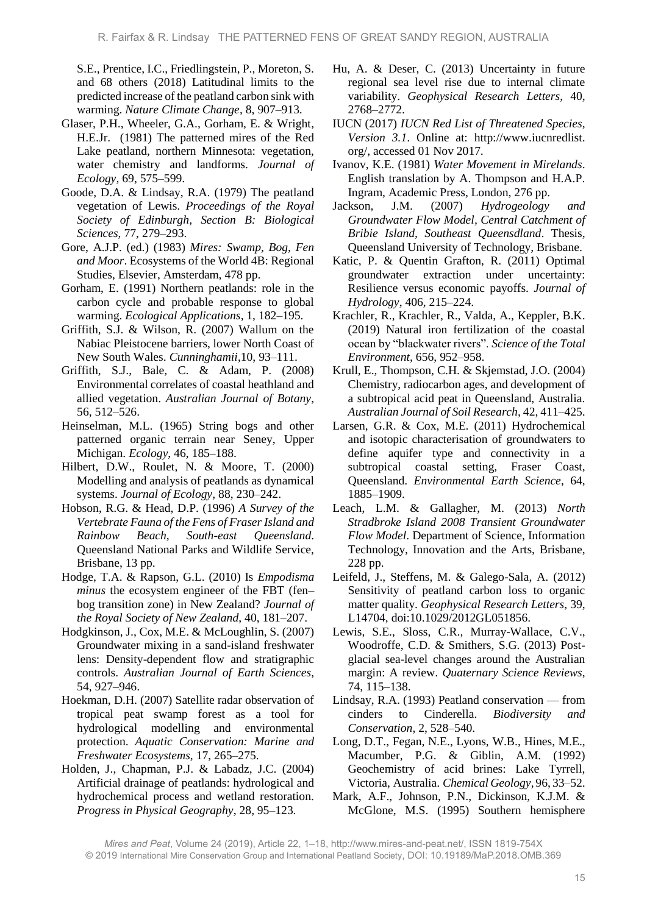S.E., Prentice, I.C., Friedlingstein, P., Moreton, S. and 68 others (2018) Latitudinal limits to the predicted increase of the peatland carbon sink with warming. *Nature Climate Change*, 8, 907–913.

- Glaser, P.H., Wheeler, G.A., Gorham, E. & Wright, H.E.Jr. (1981) The patterned mires of the Red Lake peatland, northern Minnesota: vegetation, water chemistry and landforms. *Journal of Ecology*, 69, 575–599.
- Goode, D.A. & Lindsay, R.A. (1979) The peatland vegetation of Lewis. *Proceedings of the Royal Society of Edinburgh, Section B: Biological Sciences*, 77, 279–293.
- Gore, A.J.P. (ed.) (1983) *Mires: Swamp, Bog, Fen and Moor*. Ecosystems of the World 4B: Regional Studies, Elsevier, Amsterdam, 478 pp.
- Gorham, E. (1991) Northern peatlands: role in the carbon cycle and probable response to global warming. *Ecological Applications*, 1, 182–195.
- Griffith, S.J. & Wilson, R. (2007) Wallum on the Nabiac Pleistocene barriers, lower North Coast of New South Wales. *Cunninghamii*,10, 93–111.
- Griffith, S.J., Bale, C. & Adam, P. (2008) Environmental correlates of coastal heathland and allied vegetation. *Australian Journal of Botany*, 56, 512–526.
- Heinselman, M.L. (1965) String bogs and other patterned organic terrain near Seney, Upper Michigan. *Ecology*, 46, 185–188.
- Hilbert, D.W., Roulet, N. & Moore, T. (2000) Modelling and analysis of peatlands as dynamical systems. *Journal of Ecology*, 88, 230–242.
- Hobson, R.G. & Head, D.P. (1996) *A Survey of the Vertebrate Fauna of the Fens of Fraser Island and Rainbow Beach, South-east Queensland*. Queensland National Parks and Wildlife Service, Brisbane, 13 pp.
- Hodge, T.A. & Rapson, G.L. (2010) Is *Empodisma minus* the ecosystem engineer of the FBT (fen– bog transition zone) in New Zealand? *Journal of the Royal Society of New Zealand*, 40, 181–207.
- Hodgkinson, J., Cox, M.E. & McLoughlin, S. (2007) Groundwater mixing in a sand-island freshwater lens: Density-dependent flow and stratigraphic controls. *Australian Journal of Earth Sciences*, 54, 927–946.
- Hoekman, D.H. (2007) Satellite radar observation of tropical peat swamp forest as a tool for hydrological modelling and environmental protection. *Aquatic Conservation: Marine and Freshwater Ecosystems*, 17, 265–275.
- Holden, J., Chapman, P.J. & Labadz, J.C. (2004) Artificial drainage of peatlands: hydrological and hydrochemical process and wetland restoration. *Progress in Physical Geography*, 28, 95–123.
- Hu, A. & Deser, C. (2013) Uncertainty in future regional sea level rise due to internal climate variability. *Geophysical Research Letters*, 40, 2768–2772.
- IUCN (2017) *IUCN Red List of Threatened Species, Version 3.1*. Online at: http://www.iucnredlist. org/, accessed 01 Nov 2017.
- Ivanov, K.E. (1981) *Water Movement in Mirelands*. English translation by A. Thompson and H.A.P. Ingram, Academic Press, London, 276 pp.
- Jackson, J.M. (2007) *Hydrogeology and Groundwater Flow Model, Central Catchment of Bribie Island, Southeast Queensdland*. Thesis, Queensland University of Technology, Brisbane.
- Katic, P. & Quentin Grafton, R. (2011) Optimal groundwater extraction under uncertainty: Resilience versus economic payoffs. *Journal of Hydrology*, 406, 215–224.
- Krachler, R., Krachler, R., Valda, A., Keppler, B.K. (2019) Natural iron fertilization of the coastal ocean by "blackwater rivers". *Science of the Total Environment,* 656, 952–958.
- Krull, E., Thompson, C.H. & Skjemstad, J.O. (2004) Chemistry, radiocarbon ages, and development of a subtropical acid peat in Queensland, Australia. *Australian Journal of Soil Research*, 42, 411–425.
- Larsen, G.R. & Cox, M.E. (2011) Hydrochemical and isotopic characterisation of groundwaters to define aquifer type and connectivity in a subtropical coastal setting, Fraser Coast, Queensland. *Environmental Earth Science*, 64, 1885–1909.
- Leach, L.M. & Gallagher, M. (2013) *North Stradbroke Island 2008 Transient Groundwater Flow Model*. Department of Science, Information Technology, Innovation and the Arts, Brisbane, 228 pp.
- Leifeld, J., Steffens, M. & Galego-Sala, A. (2012) Sensitivity of peatland carbon loss to organic matter quality. *Geophysical Research Letters*, 39, L14704, doi:10.1029/2012GL051856.
- Lewis, S.E., Sloss, C.R., Murray-Wallace, C.V., Woodroffe, C.D. & Smithers, S.G. (2013) Postglacial sea-level changes around the Australian margin: A review. *Quaternary Science Reviews*, 74, 115–138.
- Lindsay, R.A. (1993) Peatland conservation from cinders to Cinderella. *Biodiversity and Conservation*, 2, 528–540.
- Long, D.T., Fegan, N.E., Lyons, W.B., Hines, M.E., Macumber, P.G. & Giblin, A.M. (1992) Geochemistry of acid brines: Lake Tyrrell, Victoria, Australia. *Chemical Geology*, 96, 33–52.
- Mark, A.F., Johnson, P.N., Dickinson, K.J.M. & McGlone, M.S. (1995) Southern hemisphere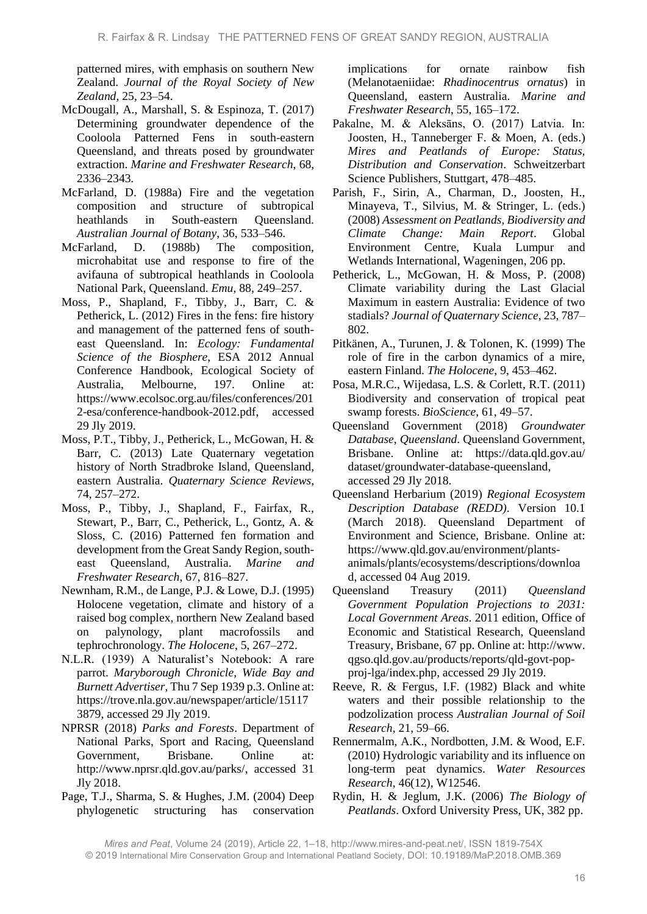patterned mires, with emphasis on southern New Zealand. *Journal of the Royal Society of New Zealand,* 25, 23–54.

- McDougall, A., Marshall, S. & Espinoza, T. (2017) Determining groundwater dependence of the Cooloola Patterned Fens in south-eastern Queensland, and threats posed by groundwater extraction. *Marine and Freshwater Research*, 68, 2336–2343.
- McFarland, D. (1988a) Fire and the vegetation composition and structure of subtropical heathlands in South-eastern Queensland. *Australian Journal of Botany*, 36, 533–546.
- McFarland, D. (1988b) The composition, microhabitat use and response to fire of the avifauna of subtropical heathlands in Cooloola National Park, Queensland. *Emu*, 88, 249–257.
- Moss, P., Shapland, F., Tibby, J., Barr, C. & Petherick, L. (2012) Fires in the fens: fire history and management of the patterned fens of southeast Queensland. In: *Ecology: Fundamental Science of the Biosphere*, ESA 2012 Annual Conference Handbook, Ecological Society of Australia, Melbourne, 197. Online at: https://www.ecolsoc.org.au/files/conferences/201 2-esa/conference-handbook-2012.pdf, accessed 29 Jly 2019.
- Moss, P.T., Tibby, J., Petherick, L., McGowan, H. & Barr, C. (2013) Late Quaternary vegetation history of North Stradbroke Island, Queensland, eastern Australia. *Quaternary Science Reviews*, 74, 257–272.
- Moss, P., Tibby, J., Shapland, F., Fairfax, R., Stewart, P., Barr, C., Petherick, L., Gontz, A. & Sloss, C. (2016) Patterned fen formation and development from the Great Sandy Region, southeast Queensland, Australia. *Marine and Freshwater Research*, 67, 816–827.
- Newnham, R.M., de Lange, P.J. & Lowe, D.J. (1995) Holocene vegetation, climate and history of a raised bog complex, northern New Zealand based on palynology, plant macrofossils and tephrochronology. *The Holocene*, 5, 267–272.
- N.L.R. (1939) A Naturalist's Notebook: A rare parrot. *Maryborough Chronicle, Wide Bay and Burnett Advertiser*, Thu 7 Sep 1939 p.3. Online at: https://trove.nla.gov.au/newspaper/article/15117 3879, accessed 29 Jly 2019.
- NPRSR (2018) *Parks and Forests*. Department of National Parks, Sport and Racing, Queensland Government, Brisbane. Online at: http://www.nprsr.qld.gov.au/parks/, accessed 31 Jly 2018.
- Page, T.J., Sharma, S. & Hughes, J.M. (2004) Deep phylogenetic structuring has conservation

implications for ornate rainbow fish (Melanotaeniidae: *Rhadinocentrus ornatus*) in Queensland, eastern Australia. *Marine and Freshwater Research*, 55, 165–172.

- Pakalne, M. & Aleksāns, O. (2017) Latvia. In: Joosten, H., Tanneberger F. & Moen, A. (eds.) *Mires and Peatlands of Europe: Status, Distribution and Conservation*. Schweitzerbart Science Publishers, Stuttgart, 478–485.
- Parish, F., Sirin, A., Charman, D., Joosten, H., Minayeva, T., Silvius, M. & Stringer, L. (eds.) (2008) *Assessment on Peatlands, Biodiversity and Climate Change: Main Report*. Global Environment Centre, Kuala Lumpur and Wetlands International, Wageningen, 206 pp.
- Petherick, L., McGowan, H. & Moss, P. (2008) Climate variability during the Last Glacial Maximum in eastern Australia: Evidence of two stadials? *Journal of Quaternary Science*, 23, 787– 802.
- Pitkänen, A., Turunen, J. & Tolonen, K. (1999) The role of fire in the carbon dynamics of a mire, eastern Finland. *The Holocene*, 9, 453–462.
- Posa, M.R.C., Wijedasa, L.S. & Corlett, R.T. (2011) Biodiversity and conservation of tropical peat swamp forests. *BioScience*, 61, 49–57.
- Queensland Government (2018) *Groundwater Database, Queensland*. Queensland Government, Brisbane. Online at: https://data.qld.gov.au/ dataset/groundwater-database-queensland, accessed 29 Jly 2018.
- Queensland Herbarium (2019) *Regional Ecosystem Description Database (REDD)*. Version 10.1 (March 2018). Queensland Department of Environment and Science, Brisbane. Online at: https://www.qld.gov.au/environment/plantsanimals/plants/ecosystems/descriptions/downloa d, accessed 04 Aug 2019.
- Queensland Treasury (2011) *Queensland Government Population Projections to 2031: Local Government Areas*. 2011 edition, Office of Economic and Statistical Research, Queensland Treasury, Brisbane, 67 pp. Online at: http://www. qgso.qld.gov.au/products/reports/qld-govt-popproj-lga/index.php, accessed 29 Jly 2019.
- Reeve, R. & Fergus, I.F. (1982) Black and white waters and their possible relationship to the podzolization process *Australian Journal of Soil Research*, 21, 59–66.
- Rennermalm, A.K., Nordbotten, J.M. & Wood, E.F. (2010) Hydrologic variability and its influence on long-term peat dynamics. *Water Resources Research*, 46(12), W12546.
- Rydin, H. & Jeglum, J.K. (2006) *The Biology of Peatlands*. Oxford University Press, UK, 382 pp.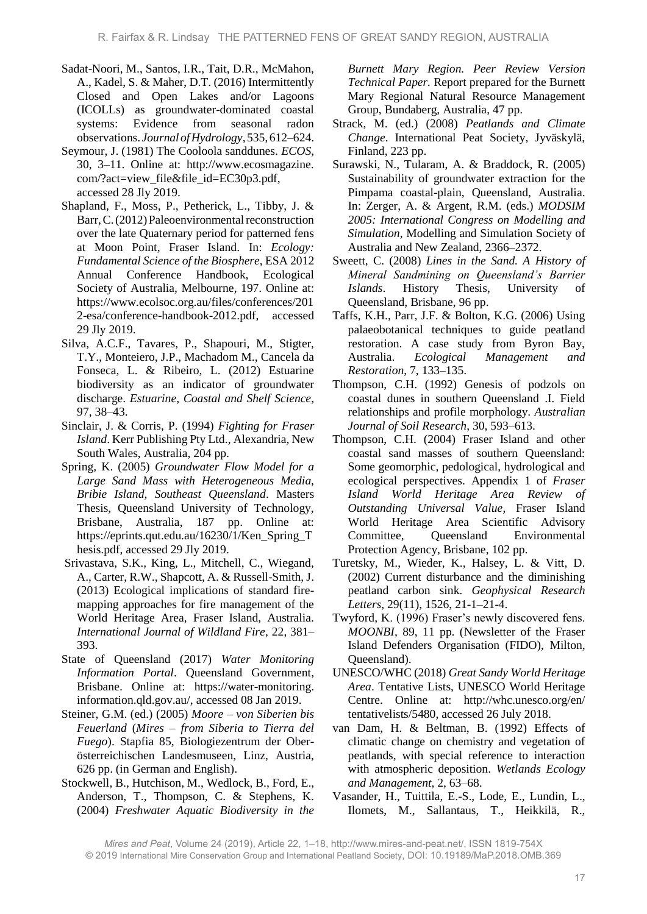- Sadat-Noori, M., Santos, I.R., Tait, D.R., McMahon, A., Kadel, S. & Maher, D.T. (2016) Intermittently Closed and Open Lakes and/or Lagoons (ICOLLs) as groundwater-dominated coastal systems: Evidence from seasonal radon observations. *Journal ofHydrology*,535,612–624.
- Seymour, J. (1981) The Cooloola sanddunes. *ECOS*, 30, 3–11. Online at: http://www.ecosmagazine. com/?act=view\_file&file\_id=EC30p3.pdf, accessed 28 Jly 2019.
- Shapland, F., Moss, P., Petherick, L., Tibby, J. & Barr, C. (2012) Paleoenvironmental reconstruction over the late Quaternary period for patterned fens at Moon Point, Fraser Island. In: *Ecology: Fundamental Science of the Biosphere*, ESA 2012 Annual Conference Handbook, Ecological Society of Australia, Melbourne, 197. Online at: https://www.ecolsoc.org.au/files/conferences/201 2-esa/conference-handbook-2012.pdf, accessed 29 Jly 2019.
- Silva, A.C.F., Tavares, P., Shapouri, M., Stigter, T.Y., Monteiero, J.P., Machadom M., Cancela da Fonseca, L. & Ribeiro, L. (2012) Estuarine biodiversity as an indicator of groundwater discharge. *Estuarine, Coastal and Shelf Science*, 97, 38–43.
- Sinclair, J. & Corris, P. (1994) *Fighting for Fraser Island*. Kerr Publishing Pty Ltd., Alexandria, New South Wales, Australia, 204 pp.
- Spring, K. (2005) *Groundwater Flow Model for a Large Sand Mass with Heterogeneous Media, Bribie Island, Southeast Queensland*. Masters Thesis, Queensland University of Technology, Brisbane, Australia, 187 pp. Online at: https://eprints.qut.edu.au/16230/1/Ken\_Spring\_T hesis.pdf, accessed 29 Jly 2019.
- Srivastava, S.K., King, L., Mitchell, C., Wiegand, A., Carter, R.W., Shapcott, A. & Russell-Smith, J. (2013) Ecological implications of standard firemapping approaches for fire management of the World Heritage Area, Fraser Island, Australia. *International Journal of Wildland Fire*, 22, 381– 393.
- State of Queensland (2017) *Water Monitoring Information Portal*. Queensland Government, Brisbane. Online at: https://water-monitoring. information.qld.gov.au/, accessed 08 Jan 2019.
- Steiner, G.M. (ed.) (2005) *Moore – von Siberien bis Feuerland* (*Mires – from Siberia to Tierra del Fuego*). Stapfia 85, Biologiezentrum der Oberösterreichischen Landesmuseen, Linz, Austria, 626 pp. (in German and English).
- Stockwell, B., Hutchison, M., Wedlock, B., Ford, E., Anderson, T., Thompson, C. & Stephens, K. (2004) *Freshwater Aquatic Biodiversity in the*

*Burnett Mary Region. Peer Review Version Technical Paper.* Report prepared for the Burnett Mary Regional Natural Resource Management Group, Bundaberg, Australia, 47 pp.

- Strack, M. (ed.) (2008) *Peatlands and Climate Change*. International Peat Society, Jyväskylä, Finland, 223 pp.
- Surawski, N., Tularam, A. & Braddock, R. (2005) Sustainability of groundwater extraction for the Pimpama coastal-plain, Queensland, Australia. In: Zerger, A. & Argent, R.M. (eds.) *MODSIM 2005: International Congress on Modelling and Simulation*, Modelling and Simulation Society of Australia and New Zealand, 2366–2372.
- Sweett, C. (2008) *Lines in the Sand. A History of Mineral Sandmining on Queensland's Barrier Islands*. History Thesis, University of Queensland, Brisbane, 96 pp.
- Taffs, K.H., Parr, J.F. & Bolton, K.G. (2006) Using palaeobotanical techniques to guide peatland restoration. A case study from Byron Bay, Australia. *Ecological Management and Restoration*, 7, 133–135.
- Thompson, C.H. (1992) Genesis of podzols on coastal dunes in southern Queensland .I. Field relationships and profile morphology. *Australian Journal of Soil Research*, 30, 593–613.
- Thompson, C.H. (2004) Fraser Island and other coastal sand masses of southern Queensland: Some geomorphic, pedological, hydrological and ecological perspectives. Appendix 1 of *Fraser Island World Heritage Area Review of Outstanding Universal Value*, Fraser Island World Heritage Area Scientific Advisory Committee, Oueensland Environmental Protection Agency, Brisbane, 102 pp.
- Turetsky, M., Wieder, K., Halsey, L. & Vitt, D. (2002) Current disturbance and the diminishing peatland carbon sink. *Geophysical Research Letters*, 29(11), 1526, 21-1–21-4.
- Twyford, K. (1996) Fraser's newly discovered fens. *MOONBI*, 89, 11 pp. (Newsletter of the Fraser Island Defenders Organisation (FIDO), Milton, Queensland).
- UNESCO/WHC (2018) *Great Sandy World Heritage Area*. Tentative Lists, UNESCO World Heritage Centre. Online at: http://whc.unesco.org/en/ tentativelists/5480, accessed 26 July 2018.
- van Dam, H. & Beltman, B. (1992) Effects of climatic change on chemistry and vegetation of peatlands, with special reference to interaction with atmospheric deposition. *Wetlands Ecology and Management*, 2, 63–68.
- Vasander, H., Tuittila, E.-S., Lode, E., Lundin, L., Ilomets, M., Sallantaus, T., Heikkilä, R.,